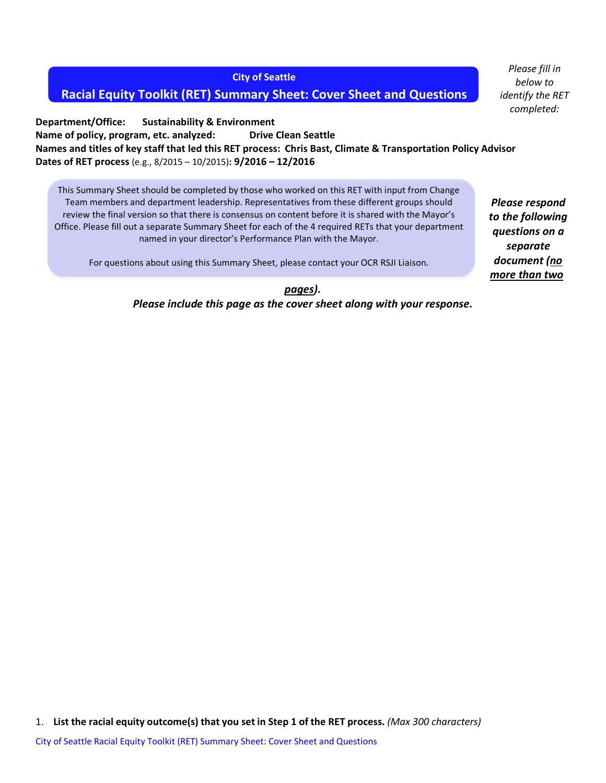**City of Seattle**

# **Racial Equity Toolkit (RET) Summary Sheet: Cover Sheet and Questions**

*Please fill in below to identify the RET completed:*

**Department/Office: Sustainability & Environment** Name of policy, program, etc. analyzed: Drive Clean Seattle **Names and titles of key staff that led this RET process: Chris Bast, Climate & Transportation Policy Advisor Dates of RET process** (e.g., 8/2015 – 10/2015)**: 9/2016 – 12/2016**

This Summary Sheet should be completed by those who worked on this RET with input from Change Team members and department leadership. Representatives from these different groups should review the final version so that there is consensus on content before it is shared with the Mayor's Office. Please fill out a separate Summary Sheet for each of the 4 required RETs that your department named in your director's Performance Plan with the Mayor.

For questions about using this Summary Sheet, please contact your OCR RSJI Liaison.

*Please respond to the following questions on a separate document (no more than two* 

*pages).* 

*Please include this page as the cover sheet along with your response.*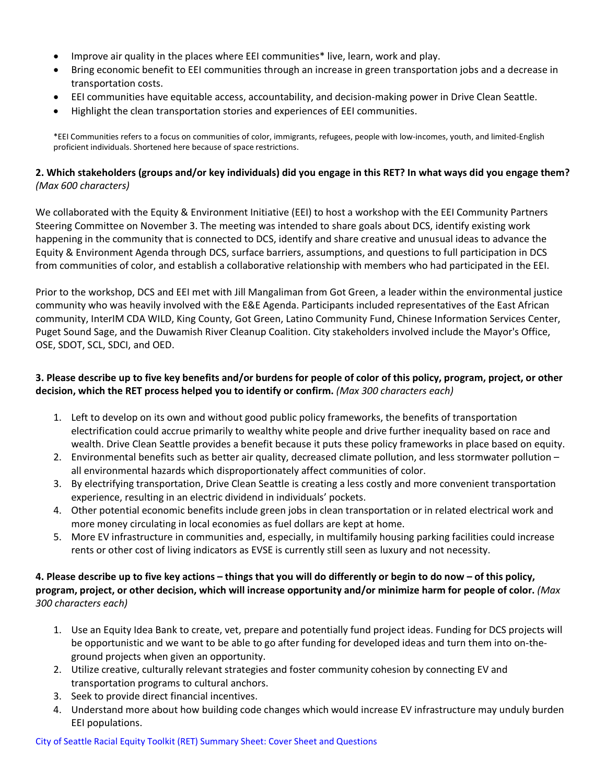- Improve air quality in the places where EEI communities\* live, learn, work and play.
- Bring economic benefit to EEI communities through an increase in green transportation jobs and a decrease in transportation costs.
- EEI communities have equitable access, accountability, and decision-making power in Drive Clean Seattle.
- Highlight the clean transportation stories and experiences of EEI communities.

\*EEI Communities refers to a focus on communities of color, immigrants, refugees, people with low-incomes, youth, and limited-English proficient individuals. Shortened here because of space restrictions.

#### **2. Which stakeholders (groups and/or key individuals) did you engage in this RET? In what ways did you engage them?** *(Max 600 characters)*

We collaborated with the Equity & Environment Initiative (EEI) to host a workshop with the EEI Community Partners Steering Committee on November 3. The meeting was intended to share goals about DCS, identify existing work happening in the community that is connected to DCS, identify and share creative and unusual ideas to advance the Equity & Environment Agenda through DCS, surface barriers, assumptions, and questions to full participation in DCS from communities of color, and establish a collaborative relationship with members who had participated in the EEI.

Prior to the workshop, DCS and EEI met with Jill Mangaliman from Got Green, a leader within the environmental justice community who was heavily involved with the E&E Agenda. Participants included representatives of the East African community, InterIM CDA WILD, King County, Got Green, Latino Community Fund, Chinese Information Services Center, Puget Sound Sage, and the Duwamish River Cleanup Coalition. City stakeholders involved include the Mayor's Office, OSE, SDOT, SCL, SDCI, and OED.

### **3. Please describe up to five key benefits and/or burdens for people of color of this policy, program, project, or other decision, which the RET process helped you to identify or confirm.** *(Max 300 characters each)*

- 1. Left to develop on its own and without good public policy frameworks, the benefits of transportation electrification could accrue primarily to wealthy white people and drive further inequality based on race and wealth. Drive Clean Seattle provides a benefit because it puts these policy frameworks in place based on equity.
- 2. Environmental benefits such as better air quality, decreased climate pollution, and less stormwater pollution all environmental hazards which disproportionately affect communities of color.
- 3. By electrifying transportation, Drive Clean Seattle is creating a less costly and more convenient transportation experience, resulting in an electric dividend in individuals' pockets.
- 4. Other potential economic benefits include green jobs in clean transportation or in related electrical work and more money circulating in local economies as fuel dollars are kept at home.
- 5. More EV infrastructure in communities and, especially, in multifamily housing parking facilities could increase rents or other cost of living indicators as EVSE is currently still seen as luxury and not necessity.

## **4. Please describe up to five key actions – things that you will do differently or begin to do now – of this policy, program, project, or other decision, which will increase opportunity and/or minimize harm for people of color.** *(Max 300 characters each)*

- 1. Use an Equity Idea Bank to create, vet, prepare and potentially fund project ideas. Funding for DCS projects will be opportunistic and we want to be able to go after funding for developed ideas and turn them into on-theground projects when given an opportunity.
- 2. Utilize creative, culturally relevant strategies and foster community cohesion by connecting EV and transportation programs to cultural anchors.
- 3. Seek to provide direct financial incentives.
- 4. Understand more about how building code changes which would increase EV infrastructure may unduly burden EEI populations.